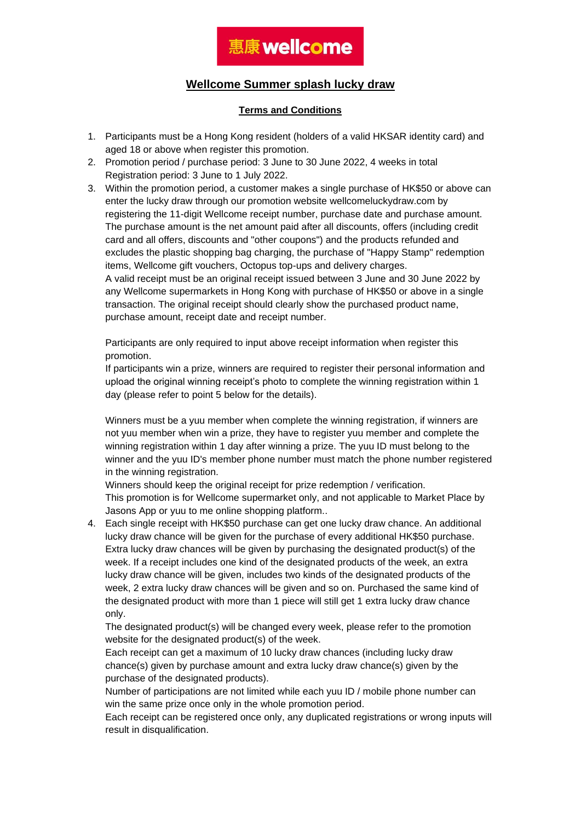#### **Wellcome Summer splash lucky draw**

#### **Terms and Conditions**

- 1. Participants must be a Hong Kong resident (holders of a valid HKSAR identity card) and aged 18 or above when register this promotion.
- 2. Promotion period / purchase period: 3 June to 30 June 2022, 4 weeks in total Registration period: 3 June to 1 July 2022.
- 3. Within the promotion period, a customer makes a single purchase of HK\$50 or above can enter the lucky draw through our promotion website wellcomeluckydraw.com by registering the 11-digit Wellcome receipt number, purchase date and purchase amount. The purchase amount is the net amount paid after all discounts, offers (including credit card and all offers, discounts and "other coupons") and the products refunded and excludes the plastic shopping bag charging, the purchase of "Happy Stamp" redemption items, Wellcome gift vouchers, Octopus top-ups and delivery charges.

A valid receipt must be an original receipt issued between 3 June and 30 June 2022 by any Wellcome supermarkets in Hong Kong with purchase of HK\$50 or above in a single transaction. The original receipt should clearly show the purchased product name, purchase amount, receipt date and receipt number.

Participants are only required to input above receipt information when register this promotion.

If participants win a prize, winners are required to register their personal information and upload the original winning receipt's photo to complete the winning registration within 1 day (please refer to point 5 below for the details).

Winners must be a yuu member when complete the winning registration, if winners are not yuu member when win a prize, they have to register yuu member and complete the winning registration within 1 day after winning a prize. The yuu ID must belong to the winner and the yuu ID's member phone number must match the phone number registered in the winning registration.

Winners should keep the original receipt for prize redemption / verification. This promotion is for Wellcome supermarket only, and not applicable to Market Place by Jasons App or yuu to me online shopping platform..

4. Each single receipt with HK\$50 purchase can get one lucky draw chance. An additional lucky draw chance will be given for the purchase of every additional HK\$50 purchase. Extra lucky draw chances will be given by purchasing the designated product(s) of the week. If a receipt includes one kind of the designated products of the week, an extra lucky draw chance will be given, includes two kinds of the designated products of the week, 2 extra lucky draw chances will be given and so on. Purchased the same kind of the designated product with more than 1 piece will still get 1 extra lucky draw chance only.

The designated product(s) will be changed every week, please refer to the promotion website for the designated product(s) of the week.

Each receipt can get a maximum of 10 lucky draw chances (including lucky draw chance(s) given by purchase amount and extra lucky draw chance(s) given by the purchase of the designated products).

Number of participations are not limited while each yuu ID / mobile phone number can win the same prize once only in the whole promotion period.

Each receipt can be registered once only, any duplicated registrations or wrong inputs will result in disqualification.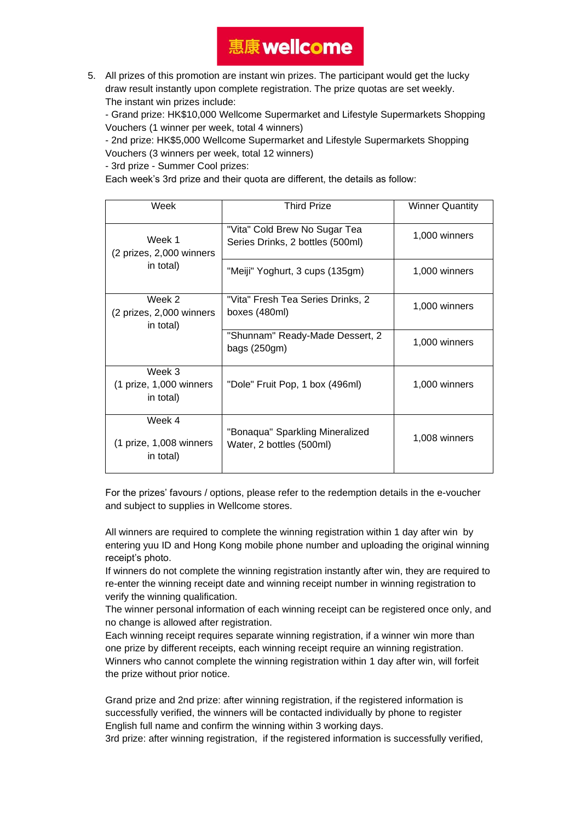5. All prizes of this promotion are instant win prizes. The participant would get the lucky draw result instantly upon complete registration. The prize quotas are set weekly. The instant win prizes include:

- Grand prize: HK\$10,000 Wellcome Supermarket and Lifestyle Supermarkets Shopping Vouchers (1 winner per week, total 4 winners)

- 2nd prize: HK\$5,000 Wellcome Supermarket and Lifestyle Supermarkets Shopping Vouchers (3 winners per week, total 12 winners)

- 3rd prize - Summer Cool prizes:

Each week's 3rd prize and their quota are different, the details as follow:

| Week                                             | <b>Third Prize</b>                                                | <b>Winner Quantity</b> |
|--------------------------------------------------|-------------------------------------------------------------------|------------------------|
| Week 1<br>(2 prizes, 2,000 winners)<br>in total) | "Vita" Cold Brew No Sugar Tea<br>Series Drinks, 2 bottles (500ml) | 1,000 winners          |
|                                                  | "Meiji" Yoghurt, 3 cups (135gm)                                   | 1,000 winners          |
| Week 2<br>(2 prizes, 2,000 winners<br>in total)  | "Vita" Fresh Tea Series Drinks, 2<br>boxes (480ml)                | 1,000 winners          |
|                                                  | "Shunnam" Ready-Made Dessert, 2<br>bags $(250gm)$                 | 1,000 winners          |
| Week 3<br>(1 prize, 1,000 winners<br>in total)   | "Dole" Fruit Pop, 1 box (496ml)                                   | 1,000 winners          |
| Week 4<br>(1 prize, 1,008 winners<br>in total)   | "Bonaqua" Sparkling Mineralized<br>Water, 2 bottles (500ml)       | 1,008 winners          |

For the prizes' favours / options, please refer to the redemption details in the e-voucher and subject to supplies in Wellcome stores.

All winners are required to complete the winning registration within 1 day after win by entering yuu ID and Hong Kong mobile phone number and uploading the original winning receipt's photo.

If winners do not complete the winning registration instantly after win, they are required to re-enter the winning receipt date and winning receipt number in winning registration to verify the winning qualification.

The winner personal information of each winning receipt can be registered once only, and no change is allowed after registration.

Each winning receipt requires separate winning registration, if a winner win more than one prize by different receipts, each winning receipt require an winning registration. Winners who cannot complete the winning registration within 1 day after win, will forfeit the prize without prior notice.

Grand prize and 2nd prize: after winning registration, if the registered information is successfully verified, the winners will be contacted individually by phone to register English full name and confirm the winning within 3 working days.

3rd prize: after winning registration, if the registered information is successfully verified,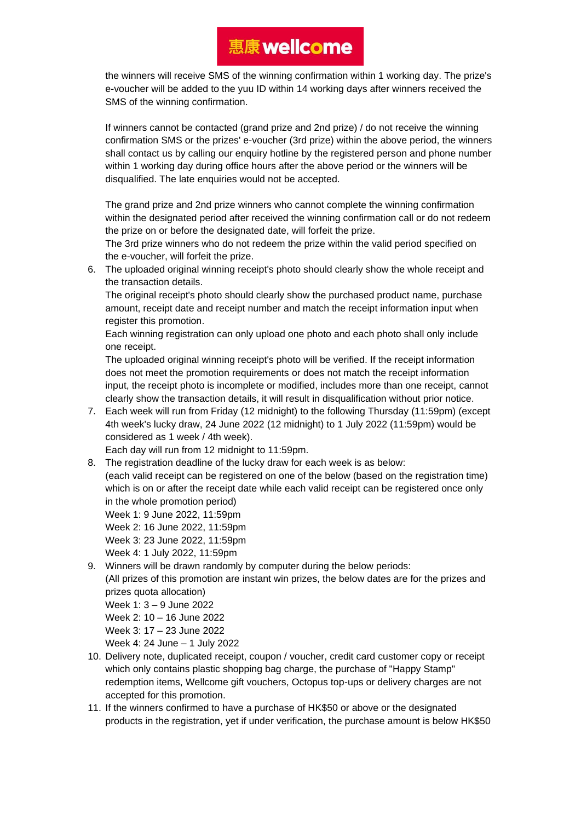the winners will receive SMS of the winning confirmation within 1 working day. The prize's e-voucher will be added to the yuu ID within 14 working days after winners received the SMS of the winning confirmation.

If winners cannot be contacted (grand prize and 2nd prize) / do not receive the winning confirmation SMS or the prizes' e-voucher (3rd prize) within the above period, the winners shall contact us by calling our enquiry hotline by the registered person and phone number within 1 working day during office hours after the above period or the winners will be disqualified. The late enquiries would not be accepted.

The grand prize and 2nd prize winners who cannot complete the winning confirmation within the designated period after received the winning confirmation call or do not redeem the prize on or before the designated date, will forfeit the prize.

The 3rd prize winners who do not redeem the prize within the valid period specified on the e-voucher, will forfeit the prize.

6. The uploaded original winning receipt's photo should clearly show the whole receipt and the transaction details.

The original receipt's photo should clearly show the purchased product name, purchase amount, receipt date and receipt number and match the receipt information input when register this promotion.

Each winning registration can only upload one photo and each photo shall only include one receipt.

The uploaded original winning receipt's photo will be verified. If the receipt information does not meet the promotion requirements or does not match the receipt information input, the receipt photo is incomplete or modified, includes more than one receipt, cannot clearly show the transaction details, it will result in disqualification without prior notice.

7. Each week will run from Friday (12 midnight) to the following Thursday (11:59pm) (except 4th week's lucky draw, 24 June 2022 (12 midnight) to 1 July 2022 (11:59pm) would be considered as 1 week / 4th week).

Each day will run from 12 midnight to 11:59pm.

8. The registration deadline of the lucky draw for each week is as below:

(each valid receipt can be registered on one of the below (based on the registration time) which is on or after the receipt date while each valid receipt can be registered once only in the whole promotion period)

Week 1: 9 June 2022, 11:59pm Week 2: 16 June 2022, 11:59pm Week 3: 23 June 2022, 11:59pm

Week 4: 1 July 2022, 11:59pm

- 9. Winners will be drawn randomly by computer during the below periods: (All prizes of this promotion are instant win prizes, the below dates are for the prizes and
	- prizes quota allocation)
	- Week 1: 3 9 June 2022
	- Week 2: 10 16 June 2022
	- Week 3: 17 23 June 2022

Week 4: 24 June – 1 July 2022

- 10. Delivery note, duplicated receipt, coupon / voucher, credit card customer copy or receipt which only contains plastic shopping bag charge, the purchase of "Happy Stamp" redemption items, Wellcome gift vouchers, Octopus top-ups or delivery charges are not accepted for this promotion.
- 11. If the winners confirmed to have a purchase of HK\$50 or above or the designated products in the registration, yet if under verification, the purchase amount is below HK\$50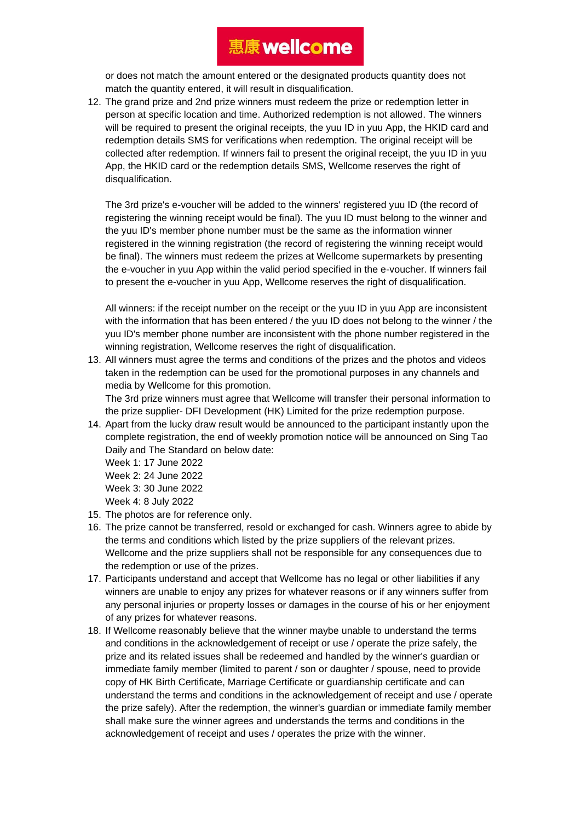or does not match the amount entered or the designated products quantity does not match the quantity entered, it will result in disqualification.

12. The grand prize and 2nd prize winners must redeem the prize or redemption letter in person at specific location and time. Authorized redemption is not allowed. The winners will be required to present the original receipts, the yuu ID in yuu App, the HKID card and redemption details SMS for verifications when redemption. The original receipt will be collected after redemption. If winners fail to present the original receipt, the yuu ID in yuu App, the HKID card or the redemption details SMS, Wellcome reserves the right of disqualification.

The 3rd prize's e-voucher will be added to the winners' registered yuu ID (the record of registering the winning receipt would be final). The yuu ID must belong to the winner and the yuu ID's member phone number must be the same as the information winner registered in the winning registration (the record of registering the winning receipt would be final). The winners must redeem the prizes at Wellcome supermarkets by presenting the e-voucher in yuu App within the valid period specified in the e-voucher. If winners fail to present the e-voucher in yuu App, Wellcome reserves the right of disqualification.

All winners: if the receipt number on the receipt or the yuu ID in yuu App are inconsistent with the information that has been entered / the yuu ID does not belong to the winner / the yuu ID's member phone number are inconsistent with the phone number registered in the winning registration, Wellcome reserves the right of disqualification.

13. All winners must agree the terms and conditions of the prizes and the photos and videos taken in the redemption can be used for the promotional purposes in any channels and media by Wellcome for this promotion.

The 3rd prize winners must agree that Wellcome will transfer their personal information to the prize supplier- DFI Development (HK) Limited for the prize redemption purpose.

14. Apart from the lucky draw result would be announced to the participant instantly upon the complete registration, the end of weekly promotion notice will be announced on Sing Tao Daily and The Standard on below date:

Week 1: 17 June 2022 Week 2: 24 June 2022 Week 3: 30 June 2022 Week 4: 8 July 2022

- 15. The photos are for reference only.
- 16. The prize cannot be transferred, resold or exchanged for cash. Winners agree to abide by the terms and conditions which listed by the prize suppliers of the relevant prizes. Wellcome and the prize suppliers shall not be responsible for any consequences due to the redemption or use of the prizes.
- 17. Participants understand and accept that Wellcome has no legal or other liabilities if any winners are unable to enjoy any prizes for whatever reasons or if any winners suffer from any personal injuries or property losses or damages in the course of his or her enjoyment of any prizes for whatever reasons.
- 18. If Wellcome reasonably believe that the winner maybe unable to understand the terms and conditions in the acknowledgement of receipt or use / operate the prize safely, the prize and its related issues shall be redeemed and handled by the winner's guardian or immediate family member (limited to parent / son or daughter / spouse, need to provide copy of HK Birth Certificate, Marriage Certificate or guardianship certificate and can understand the terms and conditions in the acknowledgement of receipt and use / operate the prize safely). After the redemption, the winner's guardian or immediate family member shall make sure the winner agrees and understands the terms and conditions in the acknowledgement of receipt and uses / operates the prize with the winner.